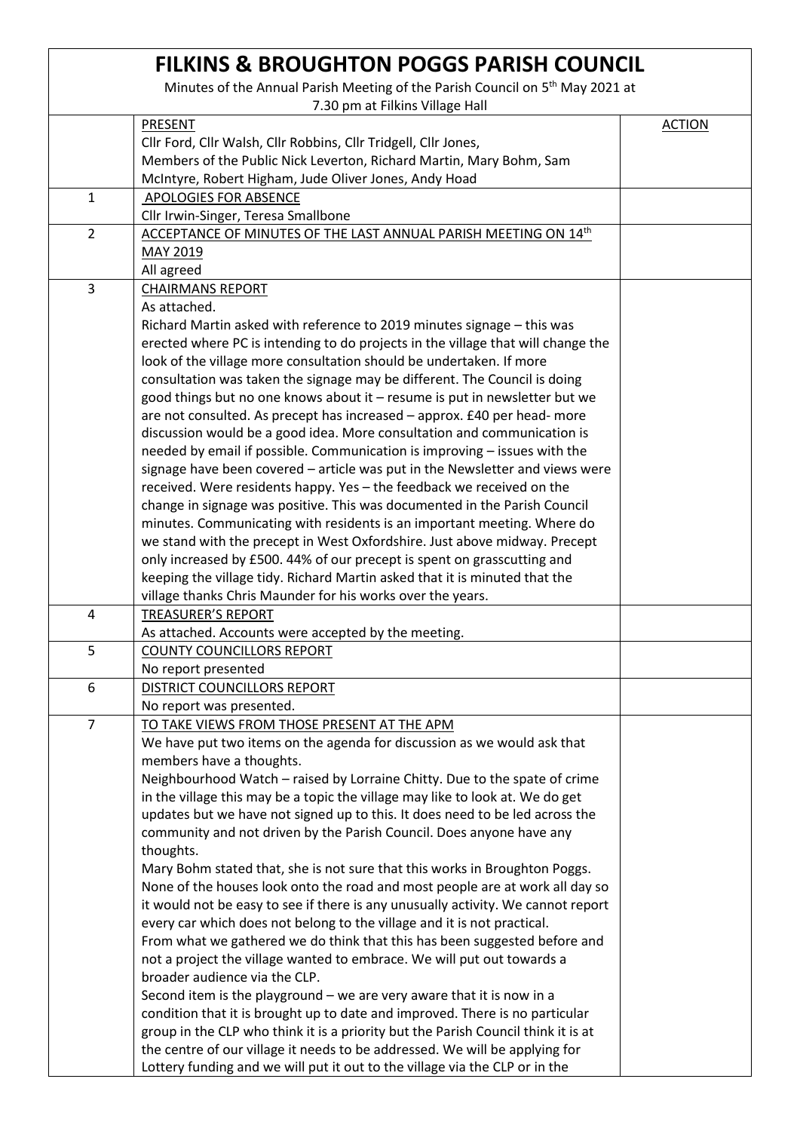| <b>FILKINS &amp; BROUGHTON POGGS PARISH COUNCIL</b><br>Minutes of the Annual Parish Meeting of the Parish Council on 5 <sup>th</sup> May 2021 at<br>7.30 pm at Filkins Village Hall |                                                                                   |               |  |
|-------------------------------------------------------------------------------------------------------------------------------------------------------------------------------------|-----------------------------------------------------------------------------------|---------------|--|
|                                                                                                                                                                                     | <b>PRESENT</b>                                                                    | <b>ACTION</b> |  |
|                                                                                                                                                                                     | Cllr Ford, Cllr Walsh, Cllr Robbins, Cllr Tridgell, Cllr Jones,                   |               |  |
|                                                                                                                                                                                     | Members of the Public Nick Leverton, Richard Martin, Mary Bohm, Sam               |               |  |
|                                                                                                                                                                                     | McIntyre, Robert Higham, Jude Oliver Jones, Andy Hoad                             |               |  |
| $\mathbf{1}$                                                                                                                                                                        |                                                                                   |               |  |
|                                                                                                                                                                                     | APOLOGIES FOR ABSENCE                                                             |               |  |
|                                                                                                                                                                                     | Cllr Irwin-Singer, Teresa Smallbone                                               |               |  |
| $\overline{2}$                                                                                                                                                                      | ACCEPTANCE OF MINUTES OF THE LAST ANNUAL PARISH MEETING ON 14th                   |               |  |
|                                                                                                                                                                                     | MAY 2019                                                                          |               |  |
|                                                                                                                                                                                     | All agreed                                                                        |               |  |
| 3                                                                                                                                                                                   | <b>CHAIRMANS REPORT</b>                                                           |               |  |
|                                                                                                                                                                                     | As attached.                                                                      |               |  |
|                                                                                                                                                                                     | Richard Martin asked with reference to 2019 minutes signage - this was            |               |  |
|                                                                                                                                                                                     | erected where PC is intending to do projects in the village that will change the  |               |  |
|                                                                                                                                                                                     | look of the village more consultation should be undertaken. If more               |               |  |
|                                                                                                                                                                                     | consultation was taken the signage may be different. The Council is doing         |               |  |
|                                                                                                                                                                                     | good things but no one knows about it - resume is put in newsletter but we        |               |  |
|                                                                                                                                                                                     | are not consulted. As precept has increased - approx. £40 per head- more          |               |  |
|                                                                                                                                                                                     | discussion would be a good idea. More consultation and communication is           |               |  |
|                                                                                                                                                                                     | needed by email if possible. Communication is improving - issues with the         |               |  |
|                                                                                                                                                                                     | signage have been covered - article was put in the Newsletter and views were      |               |  |
|                                                                                                                                                                                     | received. Were residents happy. Yes - the feedback we received on the             |               |  |
|                                                                                                                                                                                     | change in signage was positive. This was documented in the Parish Council         |               |  |
|                                                                                                                                                                                     | minutes. Communicating with residents is an important meeting. Where do           |               |  |
|                                                                                                                                                                                     | we stand with the precept in West Oxfordshire. Just above midway. Precept         |               |  |
|                                                                                                                                                                                     | only increased by £500. 44% of our precept is spent on grasscutting and           |               |  |
|                                                                                                                                                                                     | keeping the village tidy. Richard Martin asked that it is minuted that the        |               |  |
|                                                                                                                                                                                     | village thanks Chris Maunder for his works over the years.                        |               |  |
| $\overline{4}$                                                                                                                                                                      | <b>TREASURER'S REPORT</b>                                                         |               |  |
|                                                                                                                                                                                     | As attached. Accounts were accepted by the meeting.                               |               |  |
| 5                                                                                                                                                                                   | <b>COUNTY COUNCILLORS REPORT</b>                                                  |               |  |
|                                                                                                                                                                                     | No report presented                                                               |               |  |
| 6                                                                                                                                                                                   | DISTRICT COUNCILLORS REPORT                                                       |               |  |
|                                                                                                                                                                                     | No report was presented.                                                          |               |  |
| $\overline{7}$                                                                                                                                                                      | TO TAKE VIEWS FROM THOSE PRESENT AT THE APM                                       |               |  |
|                                                                                                                                                                                     | We have put two items on the agenda for discussion as we would ask that           |               |  |
|                                                                                                                                                                                     | members have a thoughts.                                                          |               |  |
|                                                                                                                                                                                     | Neighbourhood Watch - raised by Lorraine Chitty. Due to the spate of crime        |               |  |
|                                                                                                                                                                                     | in the village this may be a topic the village may like to look at. We do get     |               |  |
|                                                                                                                                                                                     | updates but we have not signed up to this. It does need to be led across the      |               |  |
|                                                                                                                                                                                     | community and not driven by the Parish Council. Does anyone have any              |               |  |
|                                                                                                                                                                                     | thoughts.                                                                         |               |  |
|                                                                                                                                                                                     | Mary Bohm stated that, she is not sure that this works in Broughton Poggs.        |               |  |
|                                                                                                                                                                                     |                                                                                   |               |  |
|                                                                                                                                                                                     | None of the houses look onto the road and most people are at work all day so      |               |  |
|                                                                                                                                                                                     | it would not be easy to see if there is any unusually activity. We cannot report  |               |  |
|                                                                                                                                                                                     | every car which does not belong to the village and it is not practical.           |               |  |
|                                                                                                                                                                                     | From what we gathered we do think that this has been suggested before and         |               |  |
|                                                                                                                                                                                     | not a project the village wanted to embrace. We will put out towards a            |               |  |
|                                                                                                                                                                                     | broader audience via the CLP.                                                     |               |  |
|                                                                                                                                                                                     | Second item is the playground - we are very aware that it is now in a             |               |  |
|                                                                                                                                                                                     | condition that it is brought up to date and improved. There is no particular      |               |  |
|                                                                                                                                                                                     | group in the CLP who think it is a priority but the Parish Council think it is at |               |  |
|                                                                                                                                                                                     | the centre of our village it needs to be addressed. We will be applying for       |               |  |
|                                                                                                                                                                                     | Lottery funding and we will put it out to the village via the CLP or in the       |               |  |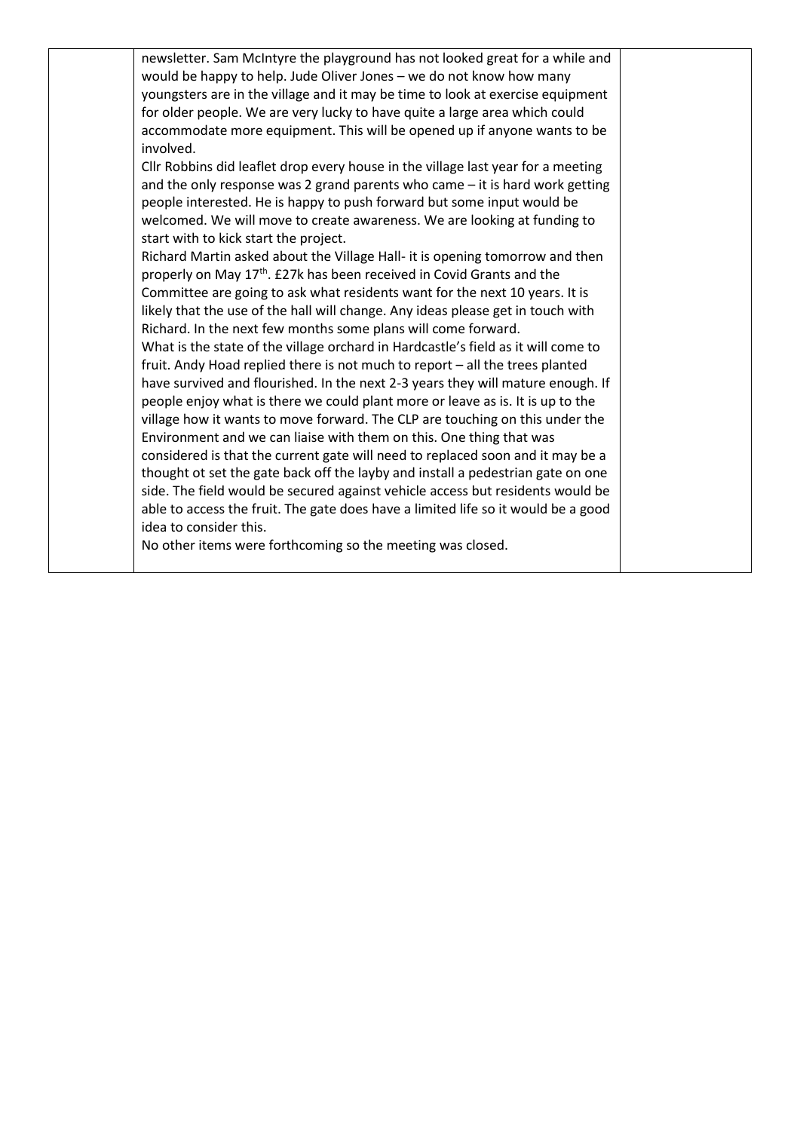| newsletter. Sam McIntyre the playground has not looked great for a while and      |  |
|-----------------------------------------------------------------------------------|--|
| would be happy to help. Jude Oliver Jones - we do not know how many               |  |
| youngsters are in the village and it may be time to look at exercise equipment    |  |
| for older people. We are very lucky to have quite a large area which could        |  |
| accommodate more equipment. This will be opened up if anyone wants to be          |  |
| involved.                                                                         |  |
| Cllr Robbins did leaflet drop every house in the village last year for a meeting  |  |
| and the only response was 2 grand parents who came - it is hard work getting      |  |
| people interested. He is happy to push forward but some input would be            |  |
| welcomed. We will move to create awareness. We are looking at funding to          |  |
| start with to kick start the project.                                             |  |
| Richard Martin asked about the Village Hall- it is opening tomorrow and then      |  |
| properly on May 17 <sup>th</sup> . £27k has been received in Covid Grants and the |  |
| Committee are going to ask what residents want for the next 10 years. It is       |  |
| likely that the use of the hall will change. Any ideas please get in touch with   |  |
| Richard. In the next few months some plans will come forward.                     |  |
| What is the state of the village orchard in Hardcastle's field as it will come to |  |
| fruit. Andy Hoad replied there is not much to report - all the trees planted      |  |
| have survived and flourished. In the next 2-3 years they will mature enough. If   |  |
| people enjoy what is there we could plant more or leave as is. It is up to the    |  |
| village how it wants to move forward. The CLP are touching on this under the      |  |
| Environment and we can liaise with them on this. One thing that was               |  |
| considered is that the current gate will need to replaced soon and it may be a    |  |
| thought ot set the gate back off the layby and install a pedestrian gate on one   |  |
| side. The field would be secured against vehicle access but residents would be    |  |
| able to access the fruit. The gate does have a limited life so it would be a good |  |
| idea to consider this.                                                            |  |
| No other items were forthcoming so the meeting was closed.                        |  |
|                                                                                   |  |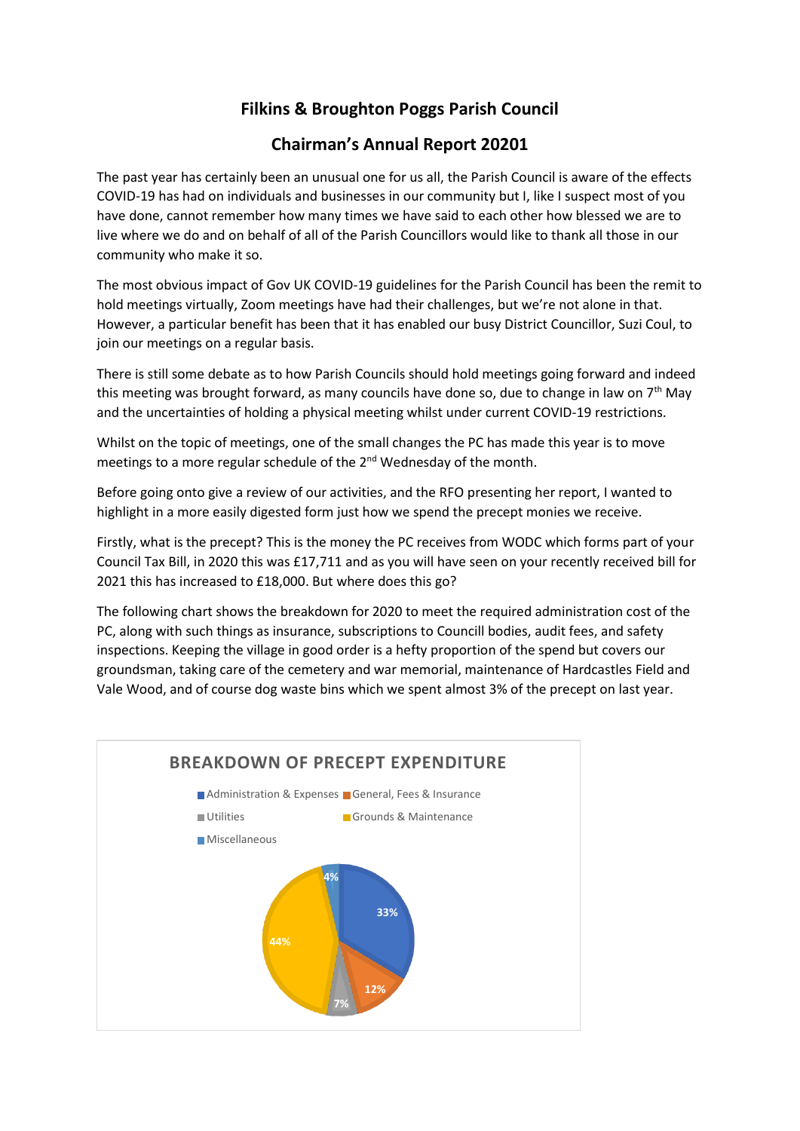# **Filkins & Broughton Poggs Parish Council**

## **Chairman's Annual Report 20201**

The past year has certainly been an unusual one for us all, the Parish Council is aware of the effects COVID-19 has had on individuals and businesses in our community but I, like I suspect most of you have done, cannot remember how many times we have said to each other how blessed we are to live where we do and on behalf of all of the Parish Councillors would like to thank all those in our community who make it so.

The most obvious impact of Gov UK COVID-19 guidelines for the Parish Council has been the remit to hold meetings virtually, Zoom meetings have had their challenges, but we're not alone in that. However, a particular benefit has been that it has enabled our busy District Councillor, Suzi Coul, to join our meetings on a regular basis.

There is still some debate as to how Parish Councils should hold meetings going forward and indeed this meeting was brought forward, as many councils have done so, due to change in law on 7<sup>th</sup> May and the uncertainties of holding a physical meeting whilst under current COVID-19 restrictions.

Whilst on the topic of meetings, one of the small changes the PC has made this year is to move meetings to a more regular schedule of the 2<sup>nd</sup> Wednesday of the month.

Before going onto give a review of our activities, and the RFO presenting her report, I wanted to highlight in a more easily digested form just how we spend the precept monies we receive.

Firstly, what is the precept? This is the money the PC receives from WODC which forms part of your Council Tax Bill, in 2020 this was £17,711 and as you will have seen on your recently received bill for 2021 this has increased to £18,000. But where does this go?

The following chart shows the breakdown for 2020 to meet the required administration cost of the PC, along with such things as insurance, subscriptions to Councill bodies, audit fees, and safety inspections. Keeping the village in good order is a hefty proportion of the spend but covers our groundsman, taking care of the cemetery and war memorial, maintenance of Hardcastles Field and Vale Wood, and of course dog waste bins which we spent almost 3% of the precept on last year.

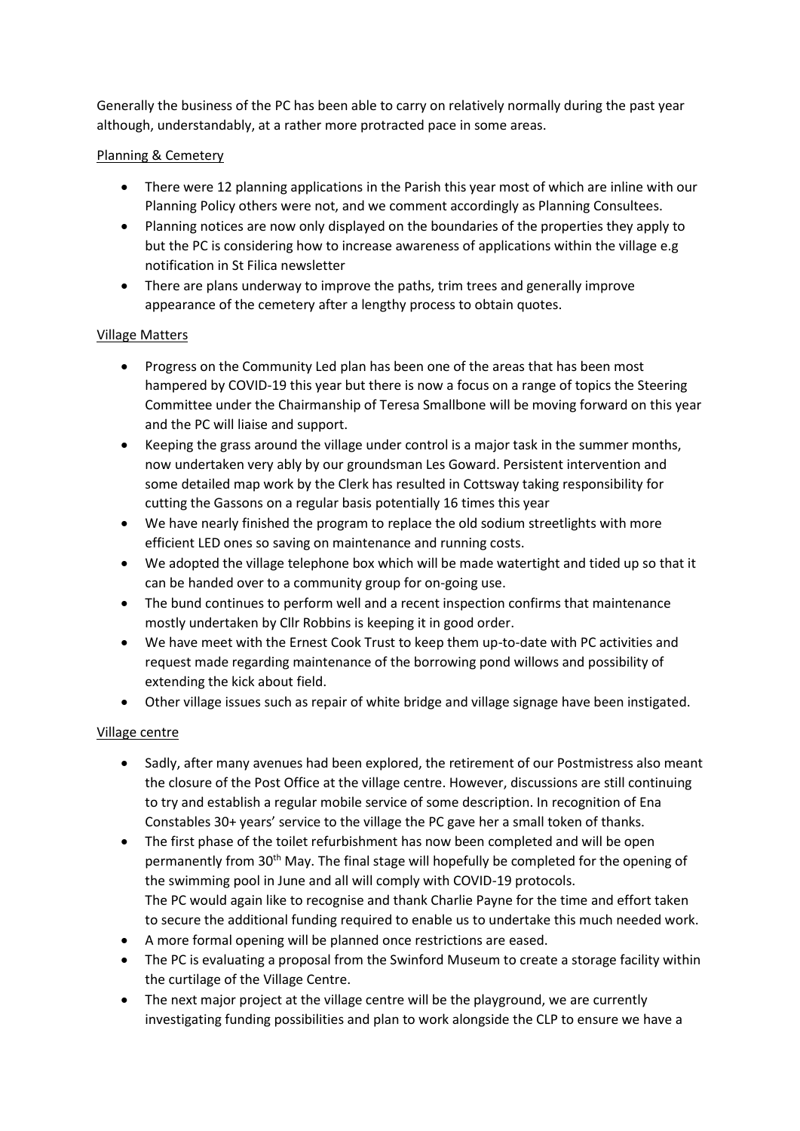Generally the business of the PC has been able to carry on relatively normally during the past year although, understandably, at a rather more protracted pace in some areas.

### Planning & Cemetery

- There were 12 planning applications in the Parish this year most of which are inline with our Planning Policy others were not, and we comment accordingly as Planning Consultees.
- Planning notices are now only displayed on the boundaries of the properties they apply to but the PC is considering how to increase awareness of applications within the village e.g notification in St Filica newsletter
- There are plans underway to improve the paths, trim trees and generally improve appearance of the cemetery after a lengthy process to obtain quotes.

#### Village Matters

- Progress on the Community Led plan has been one of the areas that has been most hampered by COVID-19 this year but there is now a focus on a range of topics the Steering Committee under the Chairmanship of Teresa Smallbone will be moving forward on this year and the PC will liaise and support.
- Keeping the grass around the village under control is a major task in the summer months, now undertaken very ably by our groundsman Les Goward. Persistent intervention and some detailed map work by the Clerk has resulted in Cottsway taking responsibility for cutting the Gassons on a regular basis potentially 16 times this year
- We have nearly finished the program to replace the old sodium streetlights with more efficient LED ones so saving on maintenance and running costs.
- We adopted the village telephone box which will be made watertight and tided up so that it can be handed over to a community group for on-going use.
- The bund continues to perform well and a recent inspection confirms that maintenance mostly undertaken by Cllr Robbins is keeping it in good order.
- We have meet with the Ernest Cook Trust to keep them up-to-date with PC activities and request made regarding maintenance of the borrowing pond willows and possibility of extending the kick about field.
- Other village issues such as repair of white bridge and village signage have been instigated.

### Village centre

- Sadly, after many avenues had been explored, the retirement of our Postmistress also meant the closure of the Post Office at the village centre. However, discussions are still continuing to try and establish a regular mobile service of some description. In recognition of Ena Constables 30+ years' service to the village the PC gave her a small token of thanks.
- The first phase of the toilet refurbishment has now been completed and will be open permanently from 30th May. The final stage will hopefully be completed for the opening of the swimming pool in June and all will comply with COVID-19 protocols. The PC would again like to recognise and thank Charlie Payne for the time and effort taken to secure the additional funding required to enable us to undertake this much needed work.
- A more formal opening will be planned once restrictions are eased.
- The PC is evaluating a proposal from the Swinford Museum to create a storage facility within the curtilage of the Village Centre.
- The next major project at the village centre will be the playground, we are currently investigating funding possibilities and plan to work alongside the CLP to ensure we have a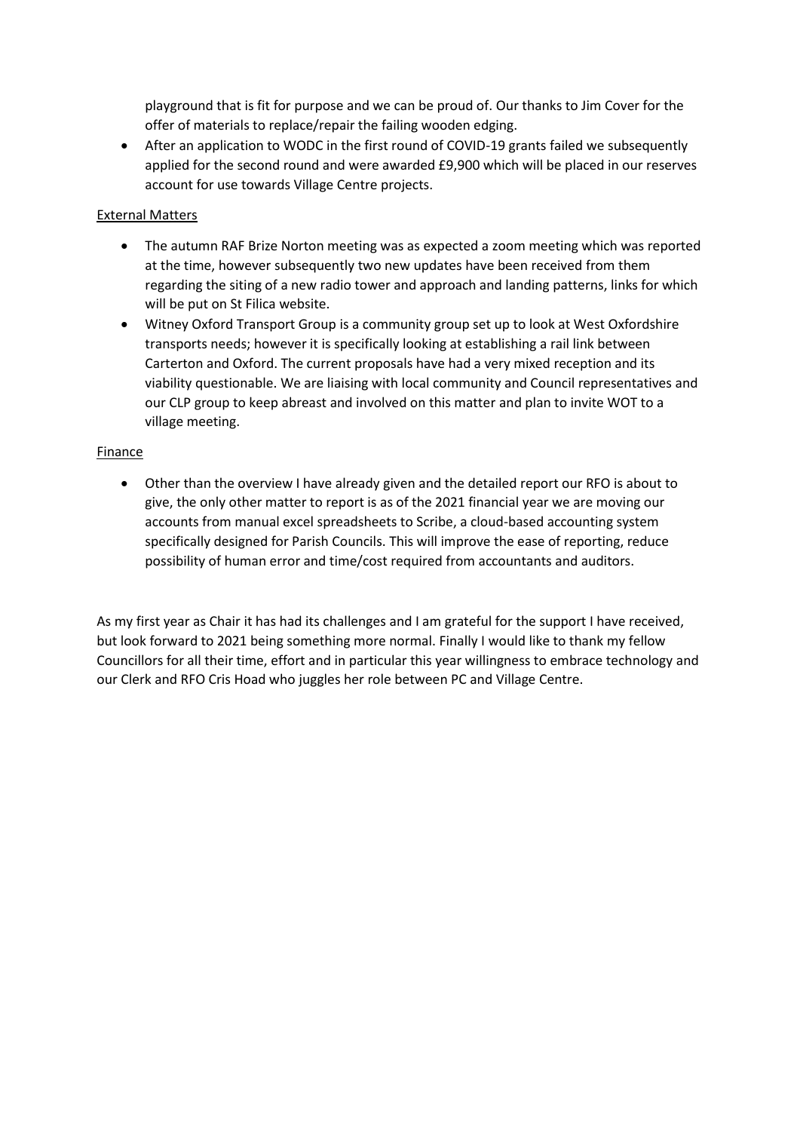playground that is fit for purpose and we can be proud of. Our thanks to Jim Cover for the offer of materials to replace/repair the failing wooden edging.

• After an application to WODC in the first round of COVID-19 grants failed we subsequently applied for the second round and were awarded £9,900 which will be placed in our reserves account for use towards Village Centre projects.

#### External Matters

- The autumn RAF Brize Norton meeting was as expected a zoom meeting which was reported at the time, however subsequently two new updates have been received from them regarding the siting of a new radio tower and approach and landing patterns, links for which will be put on St Filica website.
- Witney Oxford Transport Group is a community group set up to look at West Oxfordshire transports needs; however it is specifically looking at establishing a rail link between Carterton and Oxford. The current proposals have had a very mixed reception and its viability questionable. We are liaising with local community and Council representatives and our CLP group to keep abreast and involved on this matter and plan to invite WOT to a village meeting.

#### Finance

• Other than the overview I have already given and the detailed report our RFO is about to give, the only other matter to report is as of the 2021 financial year we are moving our accounts from manual excel spreadsheets to Scribe, a cloud-based accounting system specifically designed for Parish Councils. This will improve the ease of reporting, reduce possibility of human error and time/cost required from accountants and auditors.

As my first year as Chair it has had its challenges and I am grateful for the support I have received, but look forward to 2021 being something more normal. Finally I would like to thank my fellow Councillors for all their time, effort and in particular this year willingness to embrace technology and our Clerk and RFO Cris Hoad who juggles her role between PC and Village Centre.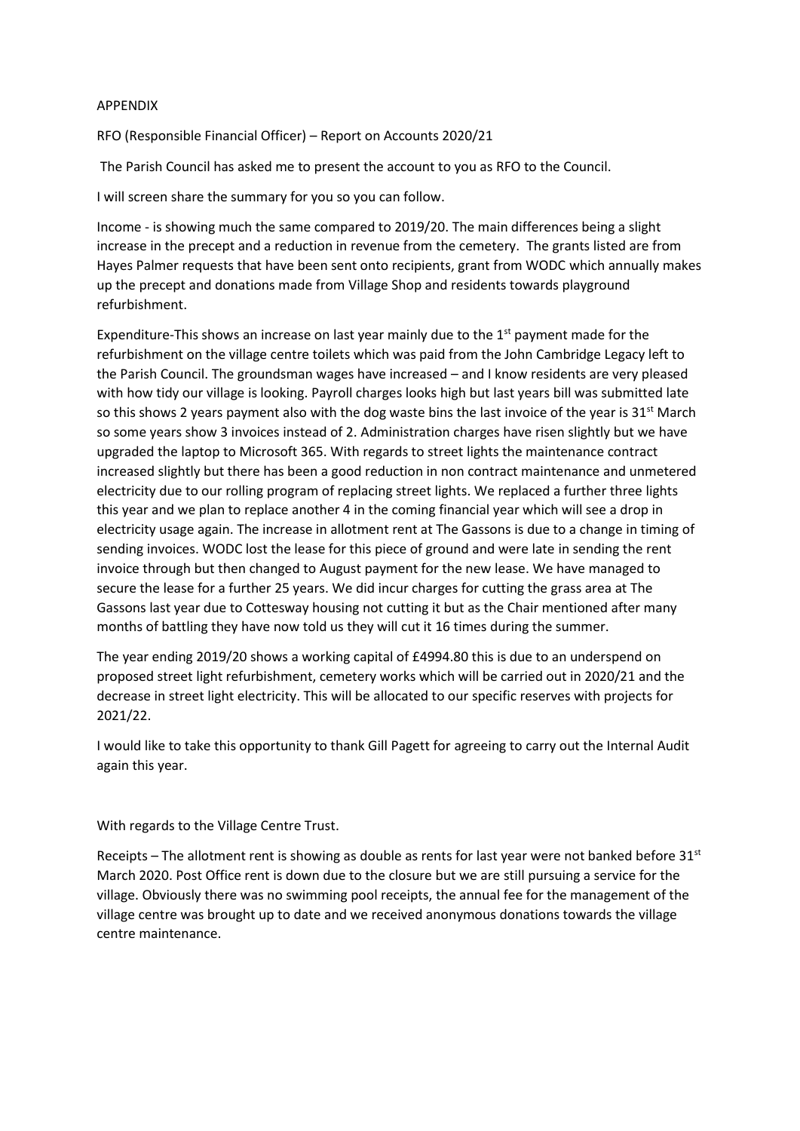#### APPENDIX

RFO (Responsible Financial Officer) – Report on Accounts 2020/21

The Parish Council has asked me to present the account to you as RFO to the Council.

I will screen share the summary for you so you can follow.

Income - is showing much the same compared to 2019/20. The main differences being a slight increase in the precept and a reduction in revenue from the cemetery. The grants listed are from Hayes Palmer requests that have been sent onto recipients, grant from WODC which annually makes up the precept and donations made from Village Shop and residents towards playground refurbishment.

Expenditure-This shows an increase on last year mainly due to the  $1<sup>st</sup>$  payment made for the refurbishment on the village centre toilets which was paid from the John Cambridge Legacy left to the Parish Council. The groundsman wages have increased – and I know residents are very pleased with how tidy our village is looking. Payroll charges looks high but last years bill was submitted late so this shows 2 years payment also with the dog waste bins the last invoice of the year is 31<sup>st</sup> March so some years show 3 invoices instead of 2. Administration charges have risen slightly but we have upgraded the laptop to Microsoft 365. With regards to street lights the maintenance contract increased slightly but there has been a good reduction in non contract maintenance and unmetered electricity due to our rolling program of replacing street lights. We replaced a further three lights this year and we plan to replace another 4 in the coming financial year which will see a drop in electricity usage again. The increase in allotment rent at The Gassons is due to a change in timing of sending invoices. WODC lost the lease for this piece of ground and were late in sending the rent invoice through but then changed to August payment for the new lease. We have managed to secure the lease for a further 25 years. We did incur charges for cutting the grass area at The Gassons last year due to Cottesway housing not cutting it but as the Chair mentioned after many months of battling they have now told us they will cut it 16 times during the summer.

The year ending 2019/20 shows a working capital of £4994.80 this is due to an underspend on proposed street light refurbishment, cemetery works which will be carried out in 2020/21 and the decrease in street light electricity. This will be allocated to our specific reserves with projects for 2021/22.

I would like to take this opportunity to thank Gill Pagett for agreeing to carry out the Internal Audit again this year.

With regards to the Village Centre Trust.

Receipts – The allotment rent is showing as double as rents for last year were not banked before  $31<sup>st</sup>$ March 2020. Post Office rent is down due to the closure but we are still pursuing a service for the village. Obviously there was no swimming pool receipts, the annual fee for the management of the village centre was brought up to date and we received anonymous donations towards the village centre maintenance.